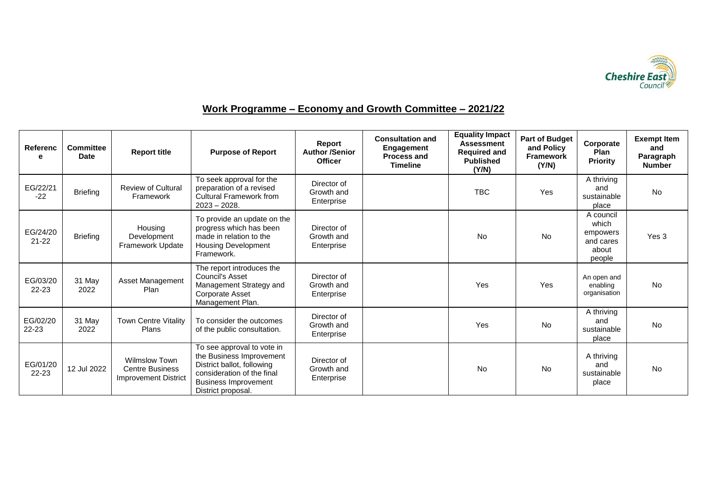

## **Work Programme – Economy and Growth Committee – 2021/22**

| <b>Referenc</b><br>е  | <b>Committee</b><br><b>Date</b> | <b>Report title</b>                                                           | <b>Purpose of Report</b>                                                                                                                                                | Report<br><b>Author /Senior</b><br><b>Officer</b> | <b>Consultation and</b><br>Engagement<br><b>Process and</b><br><b>Timeline</b> | <b>Equality Impact</b><br><b>Assessment</b><br><b>Required and</b><br><b>Published</b><br>(Y/N) | <b>Part of Budget</b><br>and Policy<br><b>Framework</b><br>(Y/N) | Corporate<br>Plan<br><b>Priority</b>                           | <b>Exempt Item</b><br>and<br>Paragraph<br><b>Number</b> |
|-----------------------|---------------------------------|-------------------------------------------------------------------------------|-------------------------------------------------------------------------------------------------------------------------------------------------------------------------|---------------------------------------------------|--------------------------------------------------------------------------------|-------------------------------------------------------------------------------------------------|------------------------------------------------------------------|----------------------------------------------------------------|---------------------------------------------------------|
| EG/22/21<br>$-22$     | <b>Briefing</b>                 | <b>Review of Cultural</b><br>Framework                                        | To seek approval for the<br>preparation of a revised<br><b>Cultural Framework from</b><br>$2023 - 2028$ .                                                               | Director of<br>Growth and<br>Enterprise           |                                                                                | <b>TBC</b>                                                                                      | Yes                                                              | A thriving<br>and<br>sustainable<br>place                      | <b>No</b>                                               |
| EG/24/20<br>$21 - 22$ | <b>Briefing</b>                 | Housing<br>Development<br>Framework Update                                    | To provide an update on the<br>progress which has been<br>made in relation to the<br><b>Housing Development</b><br>Framework.                                           | Director of<br>Growth and<br>Enterprise           |                                                                                | No.                                                                                             | <b>No</b>                                                        | A council<br>which<br>empowers<br>and cares<br>about<br>people | Yes 3                                                   |
| EG/03/20<br>$22 - 23$ | 31 May<br>2022                  | Asset Management<br>Plan                                                      | The report introduces the<br>Council's Asset<br>Management Strategy and<br>Corporate Asset<br>Management Plan.                                                          | Director of<br>Growth and<br>Enterprise           |                                                                                | Yes                                                                                             | Yes                                                              | An open and<br>enabling<br>organisation                        | <b>No</b>                                               |
| EG/02/20<br>22-23     | 31 May<br>2022                  | <b>Town Centre Vitality</b><br>Plans                                          | To consider the outcomes<br>of the public consultation.                                                                                                                 | Director of<br>Growth and<br>Enterprise           |                                                                                | Yes                                                                                             | No                                                               | A thriving<br>and<br>sustainable<br>place                      | <b>No</b>                                               |
| EG/01/20<br>22-23     | 12 Jul 2022                     | <b>Wilmslow Town</b><br><b>Centre Business</b><br><b>Improvement District</b> | To see approval to vote in<br>the Business Improvement<br>District ballot, following<br>consideration of the final<br><b>Business Improvement</b><br>District proposal. | Director of<br>Growth and<br>Enterprise           |                                                                                | No                                                                                              | No                                                               | A thriving<br>and<br>sustainable<br>place                      | <b>No</b>                                               |